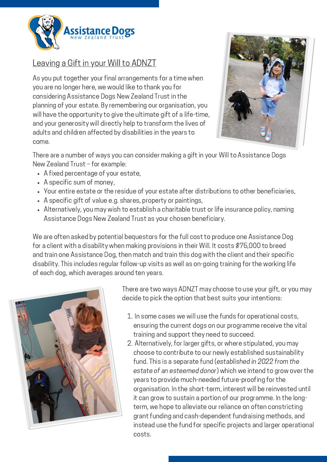

## Leaving a Gift in your Will to ADNZT

As you put together your final arrangements for a time when you are no longer here, we would like to thank you for considering Assistance Dogs New Zealand Trust in the planning of your estate. By remembering our organisation, you will have the opportunity to give the ultimate gift of a life-time, and your generosity will directly help to transform the lives of adults and children affected by disabilities in the years to come.



There are a number of ways you can consider making a gift in your Will to Assistance Dogs New Zealand Trust – for example:

- A fixed percentage of your estate,
- A specific sum of money,
- Your entire estate or the residue of your estate after distributions to other beneficiaries,
- A specific gift of value e.g. shares, property or paintings,
- Alternatively, you may wish to establish a charitable trust or life insurance policy, naming Assistance Dogs New Zealand Trust as your chosen beneficiary.

We are often asked by potential bequestors for the full cost to produce one Assistance Dog for a client with a disability when making provisions in their Will. It costs \$75,000 to breed and train one Assistance Dog, then match and train this dog with the client and their specific disability. This includes regular follow-up visits as well as on-going training for the working life of each dog, which averages around ten years.



There are two ways ADNZT may choose to use your gift, or you may decide to pick the option that best suits your intentions:

- 1. In some cases we will use the funds for operational costs, ensuring the current dogs on our programme receive the vital training and support they need to succeed.
- 2. Alternatively, for larger gifts, or where stipulated, you may choose to contribute to our newly established sustainability fund. This is a separate fund (established in 2022 from the estate of an esteemed donor) which we intend to grow over the years to provide much-needed future-proofing for the organisation. In the short-term, interest will be reinvested until it can grow to sustain a portion of our programme. In the longterm, we hope to alleviate our reliance on often constricting grant funding and cash-dependent fundraising methods, and instead use the fund for specific projects and larger operational costs.